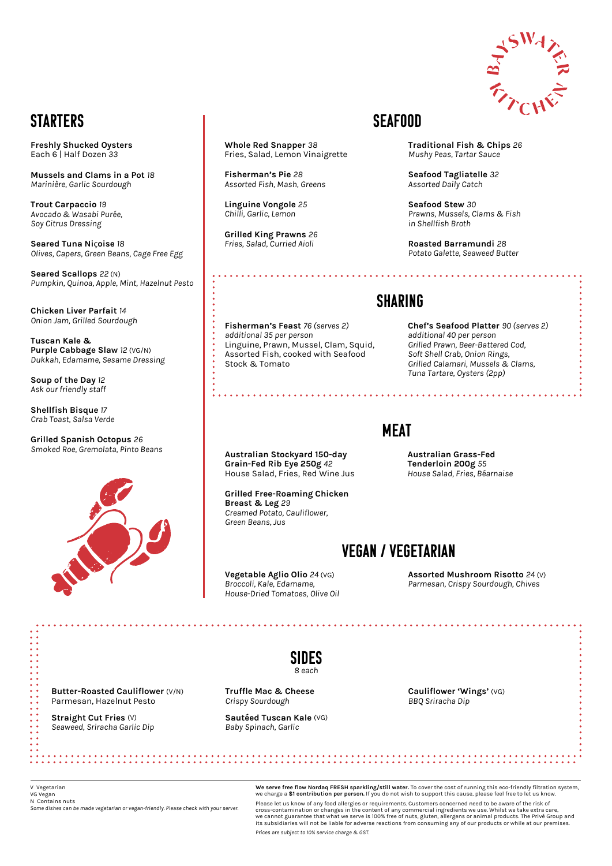

# **STARTERS**

**We serve free flow Nordaq FRESH sparkling/still water.** To cover the cost of running this eco-friendly filtration system, we charge a **\$1 contribution per person.** If you do not wish to support this cause, please feel free to let us know.

Please let us know of any food allergies or requirements. Customers concerned need to be aware of the risk of cross-contamination or changes in the content of any commercial ingredients we use. Whilst we take extra care, we cannot guarantee that what we serve is 100% free of nuts, gluten, allergens or animal products. The Privé Group and its subsidiaries will not be liable for adverse reactions from consuming any of our products or while at our premises.

*Prices are subject to 10% service charge & GST.*

V Vegetarian VG Vegan N Contains nuts *Some dishes can be made vegetarian or vegan-friendly. Please check with your server.*

**Freshly Shucked Oysters** Each 6 | Half Dozen *33*

**Mussels and Clams in a Pot** *18 Marinière, Garlic Sourdough*

**Trout Carpaccio** *19 Avocado & Wasabi Purée, Soy Citrus Dressing*

**Seared Tuna Ni**ç**oise** *18 Olives, Capers, Green Beans, Cage Free Egg*

**Seared Scallops** *22* (N) *Pumpkin, Quinoa, Apple, Mint, Hazelnut Pesto*

**Chicken Liver Parfait** *14 Onion Jam, Grilled Sourdough*

**Tuscan Kale & Purple Cabbage Slaw** *12* (VG/N) *Dukkah, Edamame, Sesame Dressing*

**Soup of the Day** *12 Ask our friendly staff*

**Shellfish Bisque** *17 Crab Toast, Salsa Verde* 

**Grilled Spanish Octopus** *26 Smoked Roe, Gremolata, Pinto Beans*



## Vegan / Vegetarian

**Vegetable Aglio Olio** *24* (VG) *Broccoli, Kale, Edamame, House-Dried Tomatoes, Olive Oil* **Assorted Mushroom Risotto** *24* (V) *Parmesan, Crispy Sourdough, Chives*

**Australian Stockyard 150-day Grain-Fed Rib Eye 250g** *42* House Salad, Fries, Red Wine Jus

**Grilled Free-Roaming Chicken Breast & Leg** *29 Creamed Potato, Cauliflower, Green Beans, Jus*

#### **Australian Grass-Fed Tenderloin 200g** *55 House Salad, Fries, Béarnaise*

. . . . . . . . . . . . . . . . . .

## SHARING

**Fisherman's Feast** *76 (serves 2) additional 35 per person* Linguine, Prawn, Mussel, Clam, Squid, Assorted Fish, cooked with Seafood Stock & Tomato

**Chef's Seafood Platter** *90 (serves 2) additional 40 per person Grilled Prawn, Beer-Battered Cod, Soft Shell Crab, Onion Rings, Grilled Calamari, Mussels & Clams, Tuna Tartare, Oysters (2pp)*

## **MEAT**

## SEAFOOD

**Whole Red Snapper** *38* Fries, Salad, Lemon Vinaigrette

**Fisherman's Pie** *28 Assorted Fish, Mash, Greens*

**Linguine Vongole** *25 Chilli, Garlic, Lemon*

**Grilled King Prawns** *26 Fries, Salad, Curried Aioli*

**Traditional Fish & Chips** *26 Mushy Peas, Tartar Sauce*

**Seafood Tagliatelle** *32 Assorted Daily Catch*

**Seafood Stew** *30 Prawns, Mussels, Clams & Fish in Shellfish Broth*

**Roasted Barramundi** *28 Potato Galette, Seaweed Butter*

| $\bullet$ $\bullet$<br>$\bullet\quad\bullet$<br>$\bullet$ $\bullet$<br>$\bullet\quadbullet$                                                              |                                                              | SIDES<br>8 each                                     |                                              |  |
|----------------------------------------------------------------------------------------------------------------------------------------------------------|--------------------------------------------------------------|-----------------------------------------------------|----------------------------------------------|--|
| • •<br>$\bullet$ $\bullet$                                                                                                                               |                                                              |                                                     |                                              |  |
| $\ddot{\bullet}$<br>$\bullet$<br>$\bullet\hspace{0.4mm}\bullet\hspace{0.4mm}$                                                                            | Butter-Roasted Cauliflower (V/N)<br>Parmesan, Hazelnut Pesto | <b>Truffle Mac &amp; Cheese</b><br>Crispy Sourdough | Cauliflower 'Wings' (VG)<br>BBQ Sriracha Dip |  |
| $\bullet$ $\bullet$<br>$\bullet$ $\bullet$<br>$\bullet$ $\bullet$<br>$\bullet$ $\bullet$<br>$\bullet\bullet$<br>$\bullet\bullet$<br>$\bullet\quadbullet$ | Straight Cut Fries (V)<br>Seaweed, Sriracha Garlic Dip       | Sautéed Tuscan Kale (VG)<br>Baby Spinach, Garlic    |                                              |  |
|                                                                                                                                                          |                                                              |                                                     |                                              |  |